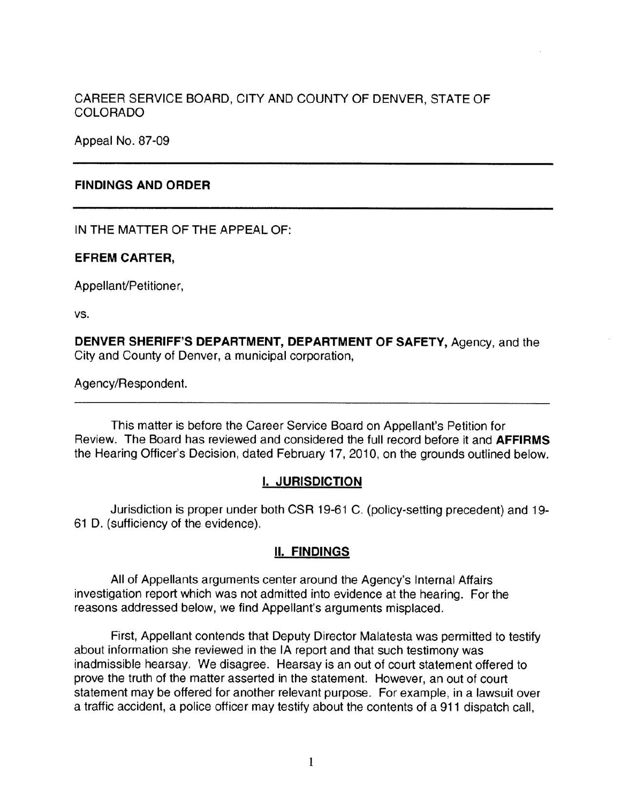## CAREER SERVICE BOARD, CITY AND COUNTY OF DENVER, STATE OF COLORADO

Appeal No. 87-09

## **FINDINGS AND ORDER**

IN THE MATTER OF THE APPEAL OF:

### **EFREM CARTER,**

Appellant/Petitioner,

vs.

**DENVER SHERIFF'S DEPARTMENT, DEPARTMENT OF SAFETY,** Agency, and the City and County of Denver, a municipal corporation,

Agency/Respondent.

This matter is before the Career Service Board on Appellant's Petition for Review. The Board has reviewed and considered the full record before it and **AFFIRMS**  the Hearing Officer's Decision, dated February 17, 2010, on the grounds outlined below.

## I. **JURISDICTION**

Jurisdiction is proper under both CSR 19-61 C. (policy-setting precedent) and 19- 61 D. (sufficiency of the evidence).

### **II. FINDINGS**

All of Appellants arguments center around the Agency's Internal Affairs investigation report which was not admitted into evidence at the hearing. For the reasons addressed below, we find Appellant's arguments misplaced.

First, Appellant contends that Deputy Director Malatesta was permitted to testify about information she reviewed in the IA report and that such testimony was inadmissible hearsay. We disagree. Hearsay is an out of court statement offered to prove the truth of the matter asserted in the statement. However, an out of court statement may be offered for another relevant purpose. For example, in a lawsuit over a traffic accident, a police officer may testify about the contents of a 911 dispatch call,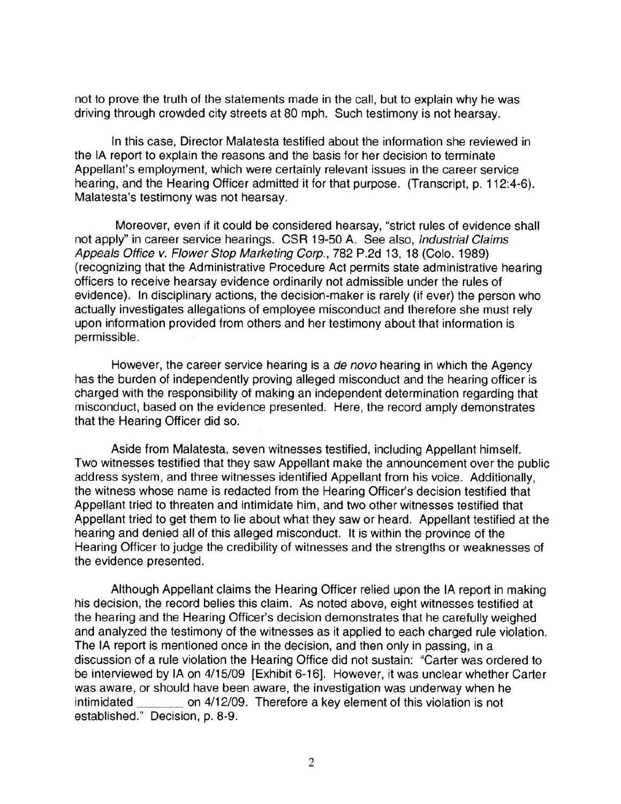not to prove the truth of the statements made in the call, but to explain why he was driving through crowded city streets at 80 mph. Such testimony is not hearsay.

In this case, Director Malatesta testified about the information she reviewed in the IA report to explain the reasons and the basis for her decision to terminate Appellant's employment, which were certainly relevant issues in the career service hearing, and the Hearing Officer admitted it for that purpose. (Transcript, p. 112:4-6). Malatesta's testimony was not hearsay.

Moreover, even if it could be considered hearsay, "strict rules of evidence shall not apply" in career service hearings. CSR 19-50 A. See also, Industrial Claims Appeals Office v. Flower Stop Marketing Corp., 782 P.2d 13, 18 (Colo. 1989) (recognizing that the Administrative Procedure Act permits state administrative hearing officers to receive hearsay evidence ordinarily not admissible under the rules of evidence). In disciplinary actions, the decision-maker is rarely (if ever) the person who actually investigates allegations of employee misconduct and therefore she must rely upon information provided from others and her testimony about that information is permissible.

However, the career service hearing is a *de novo* hearing in which the Agency has the burden of independently proving alleged misconduct and the hearing officer is charged with the responsibility of making an independent determination regarding that misconduct, based on the evidence presented. Here, the record amply demonstrates that the Hearing Officer did so.

Aside from Malatesta, seven witnesses testified, including Appellant himself. Two witnesses testified that they saw Appellant make the announcement over the public address system, and three witnesses identified Appellant from his voice. Additionally, the witness whose name is redacted from the Hearing Officer's decision testified that Appellant tried to threaten and intimidate him, and two other witnesses testified that Appellant tried to get them to lie about what they saw or heard. Appellant testified at the hearing and denied all of this alleged misconduct. It is within the province of the Hearing Officer to judge the credibility of witnesses and the strengths or weaknesses of the evidence presented.

Although Appellant claims the Hearing Officer relied upon the IA report in making his decision, the record belies this claim. As noted above, eight witnesses testified at the hearing and the Hearing Officer's decision demonstrates that he carefully weighed and analyzed the testimony of the witnesses as it applied to each charged rule violation. The IA report is mentioned once in the decision, and then only in passing, in a discussion of a rule violation the Hearing Office did not sustain: "Carter was ordered to be interviewed by IA on 4/15/09 [Exhibit 6-16]. However, it was unclear whether Carter was aware, or should have been aware, the investigation was underway when he intimidated \_\_\_ on 4/ 12/09. Therefore a key element of this violation is not established." Decision, p. 8-9.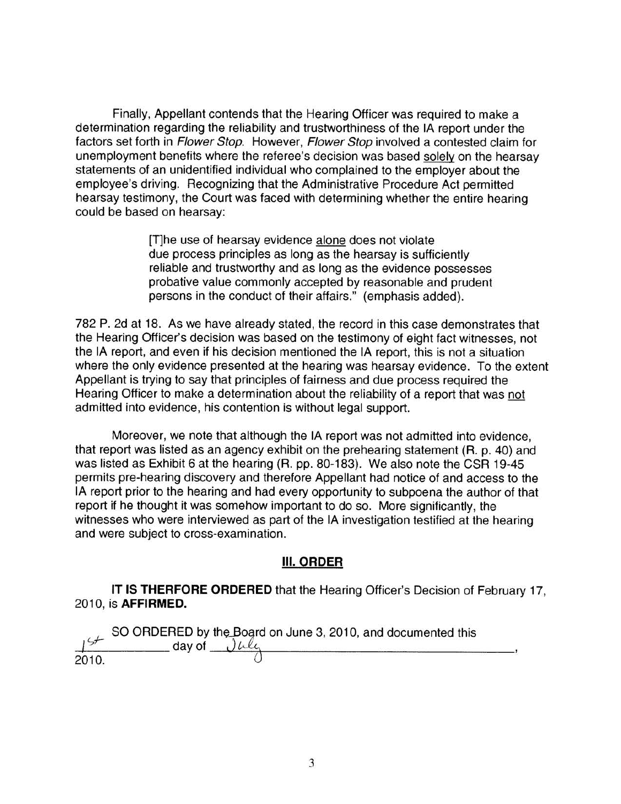Finally, Appellant contends that the Hearing Officer was required to make a determination regarding the reliability and trustworthiness of the IA report under the factors set forth in Flower Stop. However, Flower Stop involved a contested claim for unemployment benefits where the referee's decision was based solely on the hearsay statements of an unidentified individual who complained to the employer about the employee's driving. Recognizing that the Administrative Procedure Act permitted hearsay testimony, the Court was faced with determining whether the entire hearing could be based on hearsay:

> [T]he use of hearsay evidence alone does not violate due process principles as long as the hearsay is sufficiently reliable and trustworthy and as long as the evidence possesses probative value commonly accepted by reasonable and prudent persons in the conduct of their affairs." (emphasis added).

782 P. 2d at 18. As we have already stated, the record in this case demonstrates that the Hearing Officer's decision was based on the testimony of eight fact witnesses, not the IA report, and even if his decision mentioned the IA report, this is not a situation where the only evidence presented at the hearing was hearsay evidence. To the extent Appellant is trying to say that principles of fairness and due process required the Hearing Officer to make a determination about the reliability of a report that was not admitted into evidence, his contention is without legal support.

Moreover, we note that although the IA report was not admitted into evidence, that report was listed as an agency exhibit on the prehearing statement (R. p. 40) and was listed as Exhibit 6 at the hearing (R. pp. 80-183). We also note the CSR 19-45 permits pre-hearing discovery and therefore Appellant had notice of and access to the IA report prior to the hearing and had every opportunity to subpoena the author of that report if he thought it was somehow important to do so. More significantly, the witnesses who were interviewed as part of the IA investigation testified at the hearing and were subject to cross-examination.

## **Ill.ORDER**

**IT IS THERFORE ORDERED** that the Hearing Officer's Decision of February 17, 2010, is **AFFIRMED.** 

SO ORDERED by the Board on June 3, 2010, and documented this day of  $\frac{1}{2010}$ .